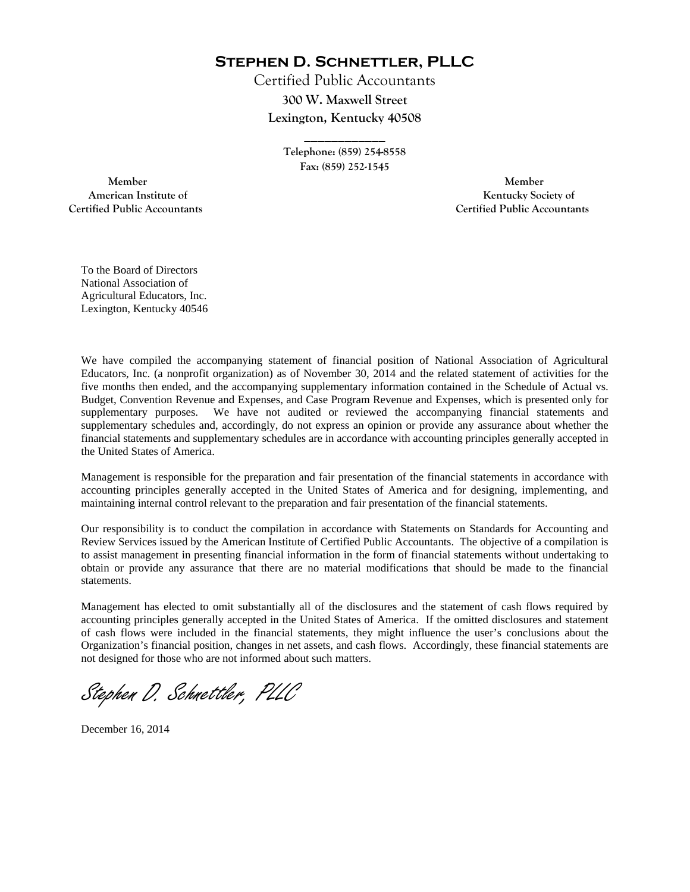**Stephen D. Schnettler, PLLC**

Certified Public Accountants **300 W. Maxwell Street Lexington, Kentucky 40508** 

> **Telephone: (859) 254-8558 Fax: (859) 252-1545**

**\_\_\_\_\_\_\_\_\_\_\_\_** 

 **Member Member Certified Public Accountants Certified Public Accountants** 

American Institute of **Kentucky Society of** 

To the Board of Directors National Association of Agricultural Educators, Inc. Lexington, Kentucky 40546

We have compiled the accompanying statement of financial position of National Association of Agricultural Educators, Inc. (a nonprofit organization) as of November 30, 2014 and the related statement of activities for the five months then ended, and the accompanying supplementary information contained in the Schedule of Actual vs. Budget, Convention Revenue and Expenses, and Case Program Revenue and Expenses, which is presented only for supplementary purposes. We have not audited or reviewed the accompanying financial statements and supplementary schedules and, accordingly, do not express an opinion or provide any assurance about whether the financial statements and supplementary schedules are in accordance with accounting principles generally accepted in the United States of America.

Management is responsible for the preparation and fair presentation of the financial statements in accordance with accounting principles generally accepted in the United States of America and for designing, implementing, and maintaining internal control relevant to the preparation and fair presentation of the financial statements.

Our responsibility is to conduct the compilation in accordance with Statements on Standards for Accounting and Review Services issued by the American Institute of Certified Public Accountants. The objective of a compilation is to assist management in presenting financial information in the form of financial statements without undertaking to obtain or provide any assurance that there are no material modifications that should be made to the financial statements.

Management has elected to omit substantially all of the disclosures and the statement of cash flows required by accounting principles generally accepted in the United States of America. If the omitted disclosures and statement of cash flows were included in the financial statements, they might influence the user's conclusions about the Organization's financial position, changes in net assets, and cash flows. Accordingly, these financial statements are not designed for those who are not informed about such matters.

Stephen D. Schnettler, PLLC

December 16, 2014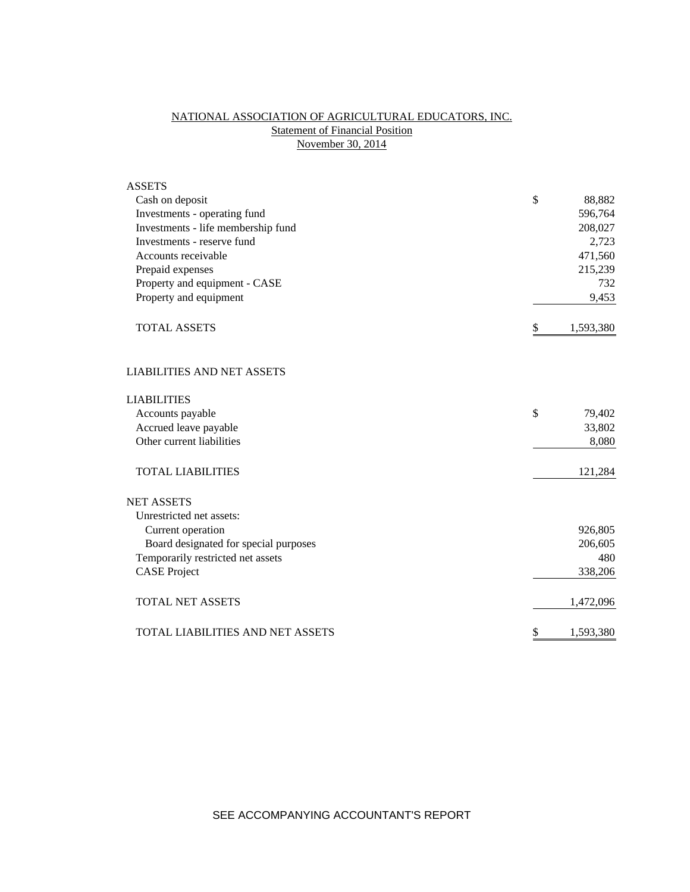# NATIONAL ASSOCIATION OF AGRICULTURAL EDUCATORS, INC. **Statement of Financial Position** November 30, 2014

| <b>ASSETS</b>                         |               |           |
|---------------------------------------|---------------|-----------|
| Cash on deposit                       | \$            | 88,882    |
| Investments - operating fund          |               | 596,764   |
| Investments - life membership fund    |               | 208,027   |
| Investments - reserve fund            |               | 2,723     |
| Accounts receivable                   |               | 471,560   |
| Prepaid expenses                      |               | 215,239   |
| Property and equipment - CASE         |               | 732       |
| Property and equipment                |               | 9,453     |
| <b>TOTAL ASSETS</b>                   | \$            | 1,593,380 |
| <b>LIABILITIES AND NET ASSETS</b>     |               |           |
| <b>LIABILITIES</b>                    |               |           |
| Accounts payable                      | $\mathcal{S}$ | 79,402    |
| Accrued leave payable                 |               | 33,802    |
| Other current liabilities             |               | 8,080     |
| <b>TOTAL LIABILITIES</b>              |               | 121,284   |
| <b>NET ASSETS</b>                     |               |           |
| Unrestricted net assets:              |               |           |
| Current operation                     |               | 926,805   |
| Board designated for special purposes |               | 206,605   |
| Temporarily restricted net assets     |               | 480       |
| <b>CASE Project</b>                   |               | 338,206   |
| <b>TOTAL NET ASSETS</b>               |               | 1,472,096 |
| TOTAL LIABILITIES AND NET ASSETS      | \$            | 1,593,380 |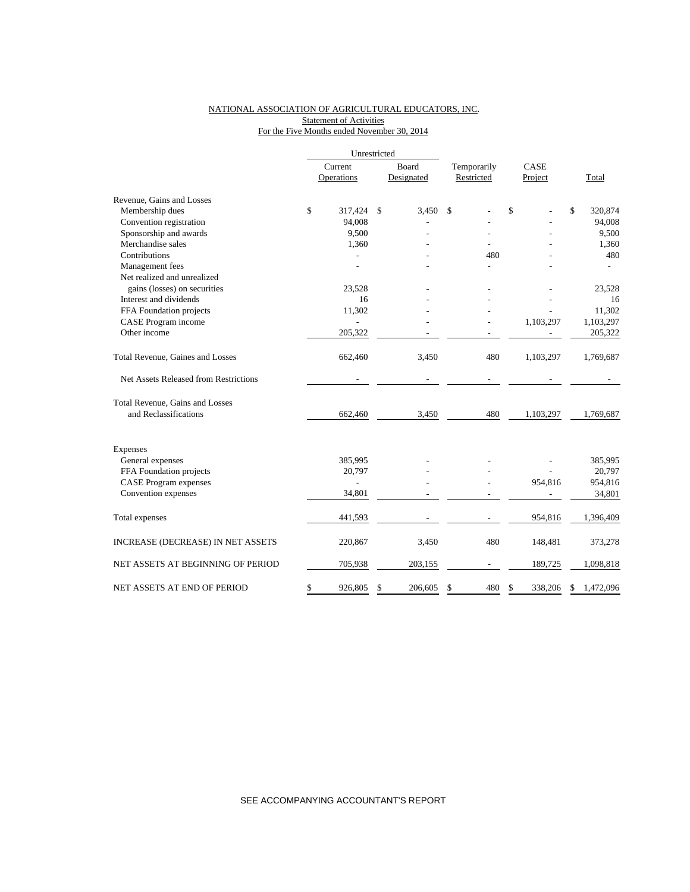### NATIONAL ASSOCIATION OF AGRICULTURAL EDUCATORS, INC. **Statement of Activities** For the Five Months ended November 30, 2014

|                                       | Unrestricted |                          |       |            |             |               |                 |
|---------------------------------------|--------------|--------------------------|-------|------------|-------------|---------------|-----------------|
|                                       | Current      |                          | Board |            | Temporarily | CASE          |                 |
|                                       |              | Operations               |       | Designated | Restricted  | Project       | Total           |
| Revenue, Gains and Losses             |              |                          |       |            |             |               |                 |
| Membership dues                       | \$           | 317,424                  | \$    | 3.450      | \$          | \$            | \$<br>320,874   |
| Convention registration               |              | 94,008                   |       |            |             |               | 94,008          |
| Sponsorship and awards                |              | 9,500                    |       |            |             |               | 9,500           |
| Merchandise sales                     |              | 1,360                    |       |            |             |               | 1,360           |
| Contributions                         |              |                          |       |            | 480         |               | 480             |
| Management fees                       |              |                          |       |            |             |               |                 |
| Net realized and unrealized           |              |                          |       |            |             |               |                 |
| gains (losses) on securities          |              | 23.528                   |       |            |             |               | 23,528          |
| Interest and dividends                |              | 16                       |       |            |             |               | 16              |
| FFA Foundation projects               |              | 11,302                   |       |            |             |               | 11,302          |
| CASE Program income                   |              |                          |       |            |             | 1,103,297     | 1,103,297       |
| Other income                          |              | 205,322                  |       |            |             |               | 205,322         |
| Total Revenue, Gaines and Losses      |              | 662,460                  |       | 3,450      | 480         | 1,103,297     | 1,769,687       |
| Net Assets Released from Restrictions |              |                          |       |            |             |               |                 |
| Total Revenue, Gains and Losses       |              |                          |       |            |             |               |                 |
| and Reclassifications                 |              | 662,460                  |       | 3,450      | 480         | 1,103,297     | 1,769,687       |
| Expenses                              |              |                          |       |            |             |               |                 |
| General expenses                      |              | 385,995                  |       |            |             |               | 385,995         |
| FFA Foundation projects               |              | 20,797                   |       |            |             |               | 20,797          |
| <b>CASE Program expenses</b>          |              | $\overline{\phantom{a}}$ |       |            |             | 954,816       | 954,816         |
| Convention expenses                   |              | 34,801                   |       |            |             |               | 34,801          |
| Total expenses                        |              | 441,593                  |       |            |             | 954,816       | 1,396,409       |
| INCREASE (DECREASE) IN NET ASSETS     |              | 220,867                  |       | 3,450      | 480         | 148,481       | 373,278         |
| NET ASSETS AT BEGINNING OF PERIOD     |              | 705,938                  |       | 203,155    |             | 189,725       | 1,098,818       |
| NET ASSETS AT END OF PERIOD           | \$           | 926,805                  | \$    | 206,605    | \$<br>480   | \$<br>338,206 | \$<br>1,472,096 |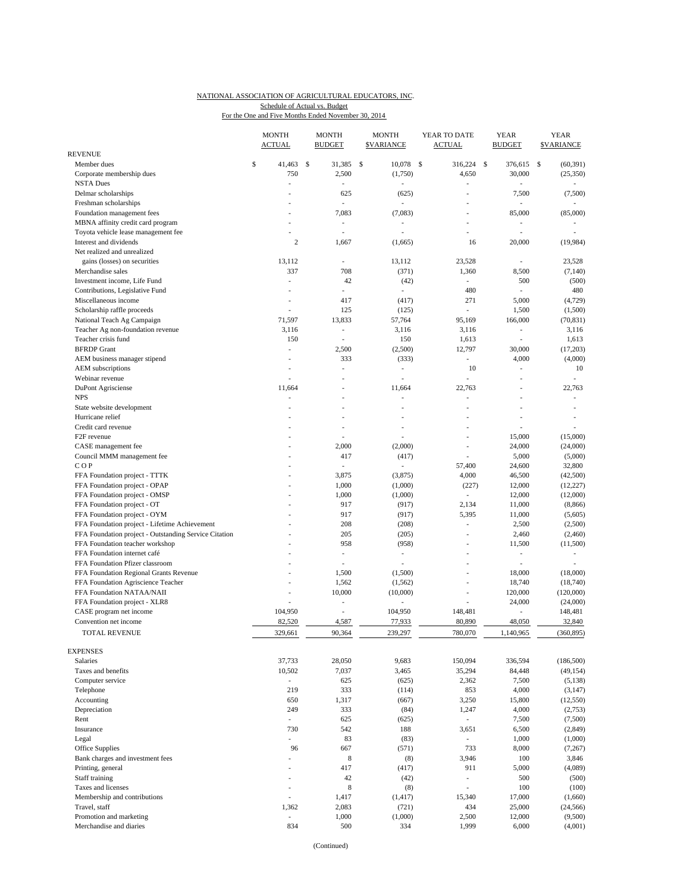#### NATIONAL ASSOCIATION OF AGRICULTURAL EDUCATORS, INC. For the One and Five Months Ended November 30, 2014 Schedule of Actual vs. Budget

|                                                       | <b>MONTH</b><br><b>ACTUAL</b>   | <b>MONTH</b><br><b>BUDGET</b> | <b>MONTH</b><br><b>SVARIANCE</b> | YEAR TO DATE<br>ACTUAL             | <b>YEAR</b><br><b>BUDGET</b>               | <b>YEAR</b><br><b>SVARIANCE</b> |
|-------------------------------------------------------|---------------------------------|-------------------------------|----------------------------------|------------------------------------|--------------------------------------------|---------------------------------|
| <b>REVENUE</b>                                        |                                 |                               |                                  |                                    |                                            |                                 |
| Member dues                                           | \$<br>41,463                    | \$<br>31,385                  | \$<br>10,078                     | \$<br>316,224                      | \$<br>376,615                              | (60, 391)<br>\$                 |
| Corporate membership dues<br><b>NSTA Dues</b>         | 750<br>$\overline{\phantom{a}}$ | 2,500<br>÷                    | (1,750)                          | 4,650<br>ä,                        | 30,000<br>ä,                               | (25,350)<br>٠                   |
| Delmar scholarships                                   |                                 | 625                           | (625)                            | Ĭ.                                 | 7,500                                      | (7,500)                         |
| Freshman scholarships                                 |                                 |                               |                                  |                                    |                                            |                                 |
| Foundation management fees                            |                                 | 7,083                         | (7,083)                          | L,                                 | 85,000                                     | (85,000)                        |
| MBNA affinity credit card program                     |                                 | $\overline{a}$                | ٠                                | Ĭ.                                 | ÷,                                         |                                 |
| Toyota vehicle lease management fee                   |                                 |                               |                                  |                                    |                                            |                                 |
| Interest and dividends                                | $\overline{c}$                  | 1,667                         | (1,665)                          | 16                                 | 20,000                                     | (19, 984)                       |
| Net realized and unrealized                           |                                 |                               |                                  |                                    |                                            |                                 |
| gains (losses) on securities                          | 13,112                          | ÷                             | 13,112                           | 23,528                             | ä,                                         | 23,528                          |
| Merchandise sales                                     | 337                             | 708                           | (371)                            | 1,360                              | 8,500                                      | (7,140)                         |
| Investment income, Life Fund                          | $\overline{\phantom{a}}$        | 42                            | (42)                             | $\overline{\phantom{a}}$           | 500                                        | (500)                           |
| Contributions, Legislative Fund                       | $\overline{a}$                  | ٠                             | $\overline{\phantom{a}}$         | 480                                | i,                                         | 480                             |
| Miscellaneous income                                  | $\overline{\phantom{a}}$        | 417                           | (417)                            | 271                                | 5,000                                      | (4, 729)                        |
| Scholarship raffle proceeds                           | L,                              | 125                           | (125)                            | $\frac{1}{2}$                      | 1,500                                      | (1,500)                         |
| National Teach Ag Campaign                            | 71,597                          | 13,833                        | 57,764                           | 95,169                             | 166,000                                    | (70, 831)                       |
| Teacher Ag non-foundation revenue                     | 3,116                           | $\overline{\phantom{a}}$      | 3,116                            | 3,116                              | $\overline{\phantom{a}}$<br>$\overline{a}$ | 3,116                           |
| Teacher crisis fund                                   | 150<br>÷,                       | ÷,                            | 150                              | 1,613                              |                                            | 1,613                           |
| <b>BFRDP</b> Grant<br>AEM business manager stipend    |                                 | 2,500<br>333                  | (2,500)                          | 12,797<br>$\overline{\phantom{a}}$ | 30,000<br>4,000                            | (17,203)                        |
| AEM subscriptions                                     | $\overline{\phantom{a}}$        | ٠                             | (333)<br>ä,                      | 10                                 | L,                                         | (4,000)<br>10                   |
| Webinar revenue                                       |                                 | $\overline{\phantom{a}}$      | ä,                               |                                    | $\overline{a}$                             | ÷,                              |
| DuPont Agrisciense                                    | 11,664                          |                               | 11,664                           | 22,763                             |                                            | 22.763                          |
| <b>NPS</b>                                            | i,                              | $\overline{\phantom{a}}$      | L,                               | $\overline{a}$                     | Ĭ.                                         | $\overline{\phantom{a}}$        |
| State website development                             |                                 |                               |                                  |                                    |                                            |                                 |
| Hurricane relief                                      |                                 |                               | ä,                               | L,                                 | i,                                         | ÷                               |
| Credit card revenue                                   |                                 |                               | $\overline{a}$                   | $\overline{a}$                     | ä,                                         | ÷.                              |
| F <sub>2F</sub> revenue                               |                                 |                               |                                  |                                    | 15,000                                     | (15,000)                        |
| CASE management fee                                   |                                 | 2,000                         | (2,000)                          | $\overline{a}$                     | 24,000                                     | (24,000)                        |
| Council MMM management fee                            |                                 | 417                           | (417)                            | ÷.                                 | 5,000                                      | (5,000)                         |
| COP                                                   |                                 | ÷,                            | ÷,                               | 57,400                             | 24,600                                     | 32,800                          |
| FFA Foundation project - TTTK                         |                                 | 3,875                         | (3,875)                          | 4,000                              | 46,500                                     | (42,500)                        |
| FFA Foundation project - OPAP                         |                                 | 1,000                         | (1,000)                          | (227)                              | 12,000                                     | (12, 227)                       |
| FFA Foundation project - OMSP                         |                                 | 1,000                         | (1,000)                          | ÷,                                 | 12,000                                     | (12,000)                        |
| FFA Foundation project - OT                           |                                 | 917                           | (917)                            | 2,134                              | 11,000                                     | (8, 866)                        |
| FFA Foundation project - OYM                          |                                 | 917                           | (917)                            | 5,395                              | 11,000                                     | (5,605)                         |
| FFA Foundation project - Lifetime Achievement         |                                 | 208                           | (208)                            | $\overline{\phantom{0}}$           | 2,500                                      | (2,500)                         |
| FFA Foundation project - Outstanding Service Citation |                                 | 205                           | (205)                            | ٠                                  | 2,460                                      | (2,460)                         |
| FFA Foundation teacher workshop                       |                                 | 958                           | (958)                            | ٠                                  | 11,500                                     | (11,500)                        |
| FFA Foundation internet café                          |                                 | $\overline{\phantom{a}}$      | $\overline{\phantom{a}}$         | L,                                 | $\overline{\phantom{a}}$                   | $\overline{\phantom{a}}$        |
| FFA Foundation Pfizer classroom                       |                                 | ÷,                            | ÷,                               |                                    | L,                                         |                                 |
| FFA Foundation Regional Grants Revenue                |                                 | 1,500                         | (1,500)                          | $\overline{a}$                     | 18,000                                     | (18,000)                        |
| FFA Foundation Agriscience Teacher                    |                                 | 1,562                         | (1, 562)                         | ä,                                 | 18,740                                     | (18,740)                        |
| FFA Foundation NATAA/NAII                             |                                 | 10,000                        | (10,000)                         | $\overline{a}$                     | 120,000                                    | (120,000)                       |
| FFA Foundation project - XLR8                         |                                 |                               |                                  | L,                                 | 24,000                                     | (24,000)                        |
| CASE program net income                               | 104,950                         | ÷.                            | 104,950                          | 148,481                            | ÷,                                         | 148,481                         |
| Convention net income                                 | 82,520                          | 4,587                         | 77,933                           | 80,890                             | 48,050                                     | 32,840                          |
| TOTAL REVENUE                                         | 329,661                         | 90,364                        | 239,297                          | 780,070                            | 1,140,965                                  | (360, 895)                      |
| <b>EXPENSES</b>                                       |                                 |                               |                                  |                                    |                                            |                                 |
| Salaries                                              | 37,733                          | 28,050                        | 9,683                            | 150,094                            | 336,594                                    | (186, 500)                      |
| Taxes and benefits                                    | 10,502                          | 7,037                         | 3,465                            | 35,294                             | 84,448                                     | (49, 154)                       |
| Computer service                                      | $\mathcal{L}_{\mathcal{A}}$     | 625                           | (625)                            | 2,362                              | 7,500                                      | (5, 138)                        |
| Telephone                                             | 219                             | 333                           | (114)                            | 853                                | 4,000                                      | (3, 147)                        |
| Accounting                                            | 650                             | 1,317                         | (667)                            | 3,250                              | 15,800                                     | (12, 550)                       |
| Depreciation                                          | 249                             | 333                           | (84)                             | 1,247                              | 4,000                                      | (2,753)                         |
| Rent                                                  | $\overline{\phantom{a}}$        | 625                           | (625)                            | $\sim$                             | 7,500                                      | (7,500)                         |
| Insurance                                             | 730                             | 542                           | 188                              | 3,651                              | 6,500                                      | (2, 849)                        |
| Legal                                                 | $\overline{a}$                  | 83                            | (83)                             |                                    | 1,000                                      | (1,000)                         |
| Office Supplies                                       | 96                              | 667                           | (571)                            | 733                                | 8,000                                      | (7,267)                         |
| Bank charges and investment fees                      | ÷,                              | $\,$ 8 $\,$                   | (8)                              | 3,946                              | 100                                        | 3,846                           |
| Printing, general                                     | L,                              | 417                           | (417)                            | 911                                | 5,000                                      | (4,089)                         |
| Staff training                                        |                                 | 42                            | (42)                             | $\overline{\phantom{a}}$           | 500                                        | (500)                           |
| Taxes and licenses                                    | $\overline{a}$                  | 8                             | (8)                              | ٠                                  | 100                                        | (100)                           |
| Membership and contributions                          | ÷,                              | 1,417                         | (1, 417)                         | 15,340                             | 17,000                                     | (1,660)                         |
| Travel, staff                                         | 1,362                           | 2,083                         | (721)                            | 434                                | 25,000                                     | (24, 566)                       |
| Promotion and marketing                               | $\frac{1}{2}$                   | 1,000                         | (1,000)                          | 2,500                              | 12,000                                     | (9,500)                         |
| Merchandise and diaries                               | 834                             | 500                           | 334                              | 1,999                              | 6,000                                      | (4,001)                         |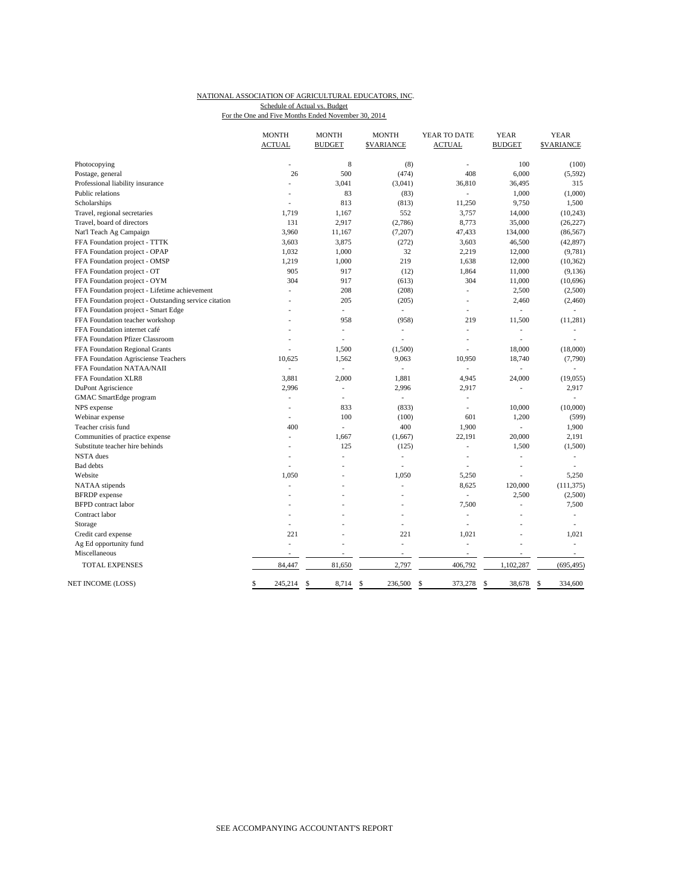#### NATIONAL ASSOCIATION OF AGRICULTURAL EDUCATORS, INC. For the One and Five Months Ended November 30, 2014 Schedule of Actual vs. Budget

|                                                       | <b>MONTH</b>             | <b>MONTH</b>             | <b>MONTH</b>             | YEAR TO DATE             | <b>YEAR</b>    | <b>YEAR</b>      |
|-------------------------------------------------------|--------------------------|--------------------------|--------------------------|--------------------------|----------------|------------------|
|                                                       | <b>ACTUAL</b>            | <b>BUDGET</b>            | <b>\$VARIANCE</b>        | <b>ACTUAL</b>            | <b>BUDGET</b>  | <b>SVARIANCE</b> |
| Photocopying                                          | $\overline{a}$           | 8                        | (8)                      | ÷,                       | 100            | (100)            |
| Postage, general                                      | 26                       | 500                      | (474)                    | 408                      | 6,000          | (5, 592)         |
| Professional liability insurance                      | L,                       | 3,041                    | (3,041)                  | 36,810                   | 36,495         | 315              |
| Public relations                                      | L,                       | 83                       | (83)                     | ÷.                       | 1,000          | (1,000)          |
| Scholarships                                          | ÷.                       | 813                      | (813)                    | 11,250                   | 9,750          | 1,500            |
| Travel, regional secretaries                          | 1.719                    | 1,167                    | 552                      | 3,757                    | 14,000         | (10, 243)        |
| Travel, board of directors                            | 131                      | 2,917                    | (2,786)                  | 8,773                    | 35,000         | (26, 227)        |
| Nat'l Teach Ag Campaign                               | 3,960                    | 11,167                   | (7,207)                  | 47,433                   | 134,000        | (86, 567)        |
| FFA Foundation project - TTTK                         | 3,603                    | 3,875                    | (272)                    | 3,603                    | 46,500         | (42, 897)        |
| FFA Foundation project - OPAP                         | 1,032                    | 1,000                    | 32                       | 2,219                    | 12,000         | (9, 781)         |
| FFA Foundation project - OMSP                         | 1,219                    | 1,000                    | 219                      | 1,638                    | 12,000         | (10, 362)        |
| FFA Foundation project - OT                           | 905                      | 917                      | (12)                     | 1,864                    | 11,000         | (9, 136)         |
| FFA Foundation project - OYM                          | 304                      | 917                      | (613)                    | 304                      | 11,000         | (10,696)         |
| FFA Foundation project - Lifetime achievement         | L.                       | 208                      | (208)                    | ÷,                       | 2,500          | (2,500)          |
| FFA Foundation project - Outstanding service citation | $\overline{a}$           | 205                      | (205)                    | ÷.                       | 2,460          | (2,460)          |
| FFA Foundation project - Smart Edge                   |                          | ٠                        | $\overline{\phantom{a}}$ | $\overline{a}$           | ÷,             | ÷,               |
| FFA Foundation teacher workshop                       |                          | 958                      | (958)                    | 219                      | 11,500         | (11, 281)        |
| FFA Foundation internet café                          |                          | ä,                       | ٠                        | L,                       | ÷,             | ä,               |
| FFA Foundation Pfizer Classroom                       | L.                       | L,                       |                          | L,                       | $\overline{a}$ | ä,               |
| FFA Foundation Regional Grants                        |                          | 1,500                    | (1,500)                  | L,                       | 18,000         | (18,000)         |
| FFA Foundation Agrisciense Teachers                   | 10.625                   | 1,562                    | 9,063                    | 10,950                   | 18,740         | (7,790)          |
| FFA Foundation NATAA/NAII                             | $\overline{\phantom{a}}$ | $\overline{\phantom{a}}$ |                          | $\overline{\phantom{a}}$ | Ĭ.             | ÷,               |
| FFA Foundation XLR8                                   | 3,881                    | 2,000                    | 1,881                    | 4,945                    | 24,000         | (19, 055)        |
| DuPont Agriscience                                    | 2,996                    | ÷,                       | 2,996                    | 2,917                    | $\frac{1}{2}$  | 2,917            |
| GMAC SmartEdge program                                | ÷,                       | ÷,                       | ÷                        | ÷,                       |                |                  |
| NPS expense                                           |                          | 833                      | (833)                    | L,                       | 10,000         | (10,000)         |
| Webinar expense                                       | L.                       | 100                      | (100)                    | 601                      | 1,200          | (599)            |
| Teacher crisis fund                                   | 400                      | L.                       | 400                      | 1,900                    | L,             | 1,900            |
| Communities of practice expense                       | ÷,                       | 1,667                    | (1,667)                  | 22,191                   | 20,000         | 2,191            |
| Substitute teacher hire behinds                       |                          | 125                      | (125)                    | L,                       | 1,500          | (1,500)          |
| <b>NSTA</b> dues                                      | L.                       | L,                       | à.                       | J.                       | $\overline{a}$ | ÷,               |
| <b>Bad</b> debts                                      | L,                       | L,                       |                          | L,                       |                | ٠                |
| Website                                               | 1,050                    |                          | 1,050                    |                          | i,<br>L        | 5,250            |
|                                                       | L.                       | ÷,                       | ä,                       | 5,250<br>8,625           | 120,000        |                  |
| NATAA stipends                                        |                          |                          |                          | $\sim$                   |                | (111, 375)       |
| <b>BFRDP</b> expense                                  |                          |                          |                          |                          | 2,500          | (2,500)          |
| <b>BFPD</b> contract labor                            |                          |                          |                          | 7,500                    | Ĭ.             | 7,500            |
| Contract labor                                        |                          |                          |                          | L,<br>Ĭ.                 |                | ÷,               |
| Storage                                               | ÷,                       |                          | ä,                       |                          | L,             | ÷,               |
| Credit card expense                                   | 221                      | J.                       | 221                      | 1,021                    | J.             | 1,021            |
| Ag Ed opportunity fund                                | $\overline{a}$           |                          | ÷,                       | L,                       |                | ÷.               |
| Miscellaneous                                         | $\overline{\phantom{a}}$ | ä,                       | $\overline{\phantom{a}}$ | $\overline{a}$           | $\overline{a}$ | $\sim$           |
| <b>TOTAL EXPENSES</b>                                 | 84,447                   | 81,650                   | 2,797                    | 406,792                  | 1,102,287      | (695, 495)       |
| NET INCOME (LOSS)                                     | 245,214                  | 8,714<br>\$              | 236,500<br>\$            | 373,278<br>\$            | 38,678<br>\$   | 334,600<br>\$    |
|                                                       |                          |                          |                          |                          |                |                  |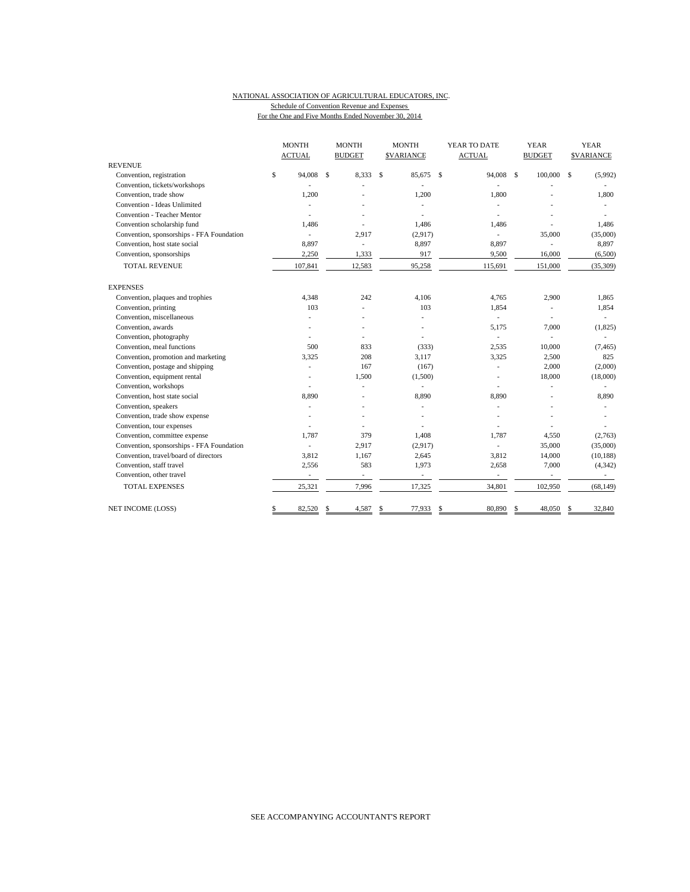## NATIONAL ASSOCIATION OF AGRICULTURAL EDUCATORS, INC. Schedule of Convention Revenue and Expenses

For the One and Five Months Ended November 30, 2014

|                                           | <b>MONTH</b>  |                          | <b>MONTH</b> |                | <b>MONTH</b> |                          | YEAR TO DATE |                          | <b>YEAR</b>   |                          | <b>YEAR</b>   |                   |
|-------------------------------------------|---------------|--------------------------|--------------|----------------|--------------|--------------------------|--------------|--------------------------|---------------|--------------------------|---------------|-------------------|
|                                           | <b>ACTUAL</b> |                          |              | <b>BUDGET</b>  |              | <b>SVARIANCE</b>         |              | <b>ACTUAL</b>            |               | <b>BUDGET</b>            |               | <b>\$VARIANCE</b> |
| <b>REVENUE</b>                            |               |                          |              |                |              |                          |              |                          |               |                          |               |                   |
| Convention, registration                  | \$            | 94,008                   | \$           | 8,333          | $\mathbf S$  | 85,675                   | $\mathbf{s}$ | 94,008                   | $\mathcal{S}$ | 100,000                  | <sup>\$</sup> | (5,992)           |
| Convention, tickets/workshops             |               |                          |              |                |              |                          |              |                          |               |                          |               |                   |
| Convention, trade show                    |               | 1,200                    |              |                |              | 1,200                    |              | 1,800                    |               |                          |               | 1,800             |
| Convention - Ideas Unlimited              |               |                          |              |                |              |                          |              |                          |               |                          |               |                   |
| <b>Convention - Teacher Mentor</b>        |               |                          |              |                |              |                          |              |                          |               |                          |               |                   |
| Convention scholarship fund               |               | 1,486                    |              |                |              | 1,486                    |              | 1,486                    |               |                          |               | 1,486             |
| Convention, sponsorships - FFA Foundation |               |                          |              | 2,917          |              | (2,917)                  |              | ä,                       |               | 35,000                   |               | (35,000)          |
| Convention, host state social             |               | 8,897                    |              | $\sim$         |              | 8,897                    |              | 8,897                    |               |                          |               | 8,897             |
| Convention, sponsorships                  |               | 2,250                    |              | 1,333          |              | 917                      |              | 9,500                    |               | 16,000                   |               | (6,500)           |
| <b>TOTAL REVENUE</b>                      |               | 107,841                  |              | 12,583         |              | 95,258                   |              | 115,691                  |               | 151,000                  |               | (35,309)          |
| <b>EXPENSES</b>                           |               |                          |              |                |              |                          |              |                          |               |                          |               |                   |
| Convention, plaques and trophies          |               | 4.348                    |              | 242            |              | 4.106                    |              | 4,765                    |               | 2,900                    |               | 1,865             |
| Convention, printing                      |               | 103                      |              |                |              | 103                      |              | 1,854                    |               |                          |               | 1,854             |
| Convention, miscellaneous                 |               |                          |              |                |              | ٠                        |              |                          |               | $\overline{\phantom{a}}$ |               |                   |
| Convention, awards                        |               |                          |              |                |              | ٠                        |              | 5,175                    |               | 7,000                    |               | (1, 825)          |
| Convention, photography                   |               |                          |              |                |              | ÷,                       |              |                          |               |                          |               |                   |
| Convention, meal functions                |               | 500                      |              | 833            |              | (333)                    |              | 2,535                    |               | 10,000                   |               | (7, 465)          |
| Convention, promotion and marketing       |               | 3,325                    |              | 208            |              | 3,117                    |              | 3,325                    |               | 2,500                    |               | 825               |
| Convention, postage and shipping          |               |                          |              | 167            |              | (167)                    |              |                          |               | 2,000                    |               | (2,000)           |
| Convention, equipment rental              |               |                          |              | 1,500          |              | (1,500)                  |              |                          |               | 18,000                   |               | (18,000)          |
| Convention, workshops                     |               |                          |              |                |              | ÷,                       |              |                          |               |                          |               |                   |
| Convention, host state social             |               | 8,890                    |              |                |              | 8,890                    |              | 8,890                    |               |                          |               | 8,890             |
| Convention, speakers                      |               |                          |              |                |              | ÷.                       |              |                          |               |                          |               |                   |
| Convention, trade show expense            |               |                          |              |                |              |                          |              |                          |               |                          |               |                   |
| Convention, tour expenses                 |               |                          |              |                |              |                          |              |                          |               |                          |               |                   |
| Convention, committee expense             |               | 1,787                    |              | 379            |              | 1,408                    |              | 1,787                    |               | 4,550                    |               | (2,763)           |
| Convention, sponsorships - FFA Foundation |               |                          |              | 2,917          |              | (2,917)                  |              |                          |               | 35,000                   |               | (35,000)          |
| Convention, travel/board of directors     |               | 3,812                    |              | 1,167          |              | 2,645                    |              | 3,812                    |               | 14,000                   |               | (10, 188)         |
| Convention, staff travel                  |               | 2,556                    |              | 583            |              | 1,973                    |              | 2,658                    |               | 7,000                    |               | (4, 342)          |
| Convention, other travel                  |               | $\overline{\phantom{a}}$ |              | $\overline{a}$ |              | $\overline{\phantom{a}}$ |              | $\overline{\phantom{a}}$ |               | ÷,                       |               | $\sim$            |
| <b>TOTAL EXPENSES</b>                     |               | 25,321                   |              | 7,996          |              | 17,325                   |              | 34,801                   |               | 102,950                  |               | (68, 149)         |
| NET INCOME (LOSS)                         | \$            | 82,520                   | S            | 4,587          | \$           | 77,933                   | \$           | 80,890                   | <sup>\$</sup> | 48,050                   | \$            | 32,840            |